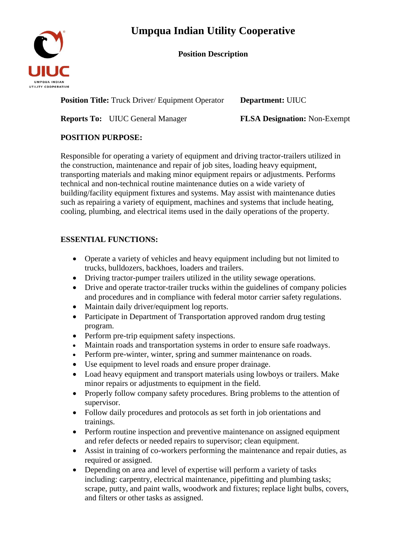# **Umpqua Indian Utility Cooperative**

#### **Position Description**



**Position Title:** Truck Driver/ Equipment Operator Department: UIUC

**Reports To:** UIUC General Manager **FLSA Designation:** Non-Exempt

## **POSITION PURPOSE:**

Responsible for operating a variety of equipment and driving tractor-trailers utilized in the construction, maintenance and repair of job sites, loading heavy equipment, transporting materials and making minor equipment repairs or adjustments. Performs technical and non-technical routine maintenance duties on a wide variety of building/facility equipment fixtures and systems. May assist with maintenance duties such as repairing a variety of equipment, machines and systems that include heating, cooling, plumbing, and electrical items used in the daily operations of the property.

## **ESSENTIAL FUNCTIONS:**

- Operate a variety of vehicles and heavy equipment including but not limited to trucks, bulldozers, backhoes, loaders and trailers.
- Driving tractor-pumper trailers utilized in the utility sewage operations.
- Drive and operate tractor-trailer trucks within the guidelines of company policies and procedures and in compliance with federal motor carrier safety regulations.
- Maintain daily driver/equipment log reports.
- Participate in Department of Transportation approved random drug testing program.
- Perform pre-trip equipment safety inspections.
- Maintain roads and transportation systems in order to ensure safe roadways.
- Perform pre-winter, winter, spring and summer maintenance on roads.
- Use equipment to level roads and ensure proper drainage.
- Load heavy equipment and transport materials using lowboys or trailers. Make minor repairs or adjustments to equipment in the field.
- Properly follow company safety procedures. Bring problems to the attention of supervisor.
- Follow daily procedures and protocols as set forth in job orientations and trainings.
- Perform routine inspection and preventive maintenance on assigned equipment and refer defects or needed repairs to supervisor; clean equipment.
- Assist in training of co-workers performing the maintenance and repair duties, as required or assigned.
- Depending on area and level of expertise will perform a variety of tasks including: carpentry, electrical maintenance, pipefitting and plumbing tasks; scrape, putty, and paint walls, woodwork and fixtures; replace light bulbs, covers, and filters or other tasks as assigned.